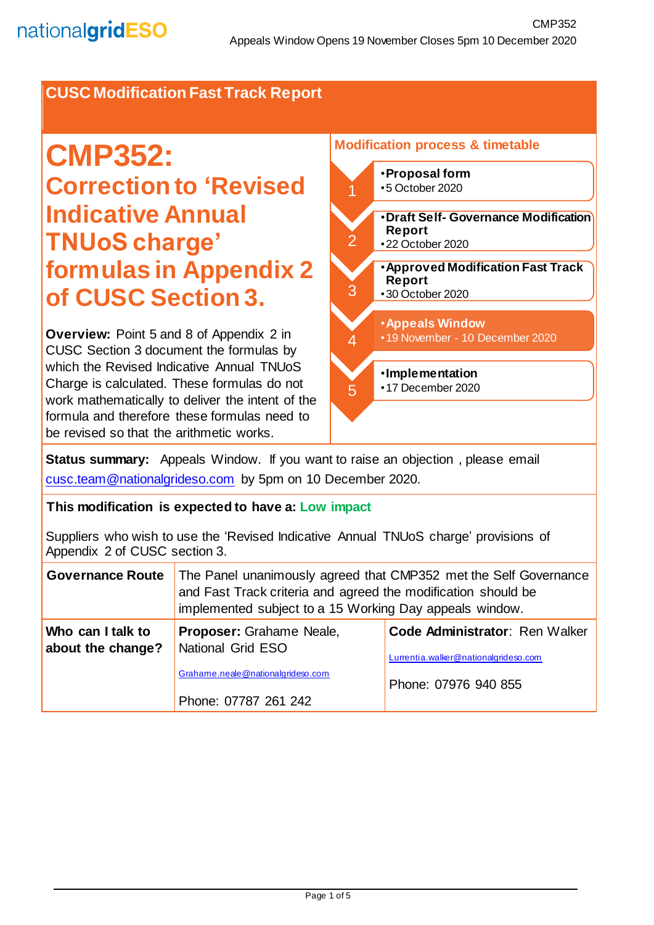# **CUSC Modification Fast Track Report**

# **CMP352: Correction to 'Revised Indicative Annual TNUoS charge' formulas in Appendix 2 of CUSC Section 3.**

**Overview:** Point 5 and 8 of Appendix 2 in CUSC Section 3 document the formulas by which the Revised Indicative Annual TNUoS Charge is calculated. These formulas do not work mathematically to deliver the intent of the formula and therefore these formulas need to be revised so that the arithmetic works.



**Status summary:** Appeals Window. If you want to raise an objection, please email [cusc.team@nationalgrideso.com](mailto:cusc.team@nationalgrideso.com) by 5pm on 10 December 2020.

#### **This modification is expected to have a: Low impact**

Suppliers who wish to use the 'Revised Indicative Annual TNUoS charge' provisions of Appendix 2 of CUSC section 3.

| <b>Governance Route</b>                | The Panel unanimously agreed that CMP352 met the Self Governance<br>and Fast Track criteria and agreed the modification should be<br>implemented subject to a 15 Working Day appeals window. |                                                                        |
|----------------------------------------|----------------------------------------------------------------------------------------------------------------------------------------------------------------------------------------------|------------------------------------------------------------------------|
| Who can I talk to<br>about the change? | Proposer: Grahame Neale,<br>National Grid ESO                                                                                                                                                | Code Administrator: Ren Walker<br>Lurrentia.walker@nationalgrideso.com |
|                                        | Grahame.neale@nationalgrideso.com<br>Phone: 07787 261 242                                                                                                                                    | Phone: 07976 940 855                                                   |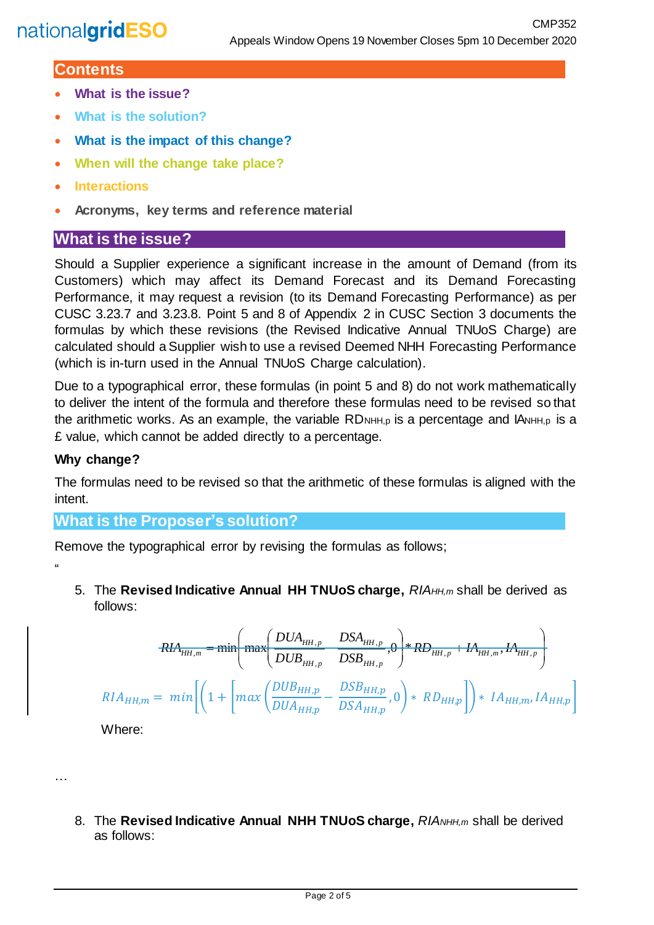## **Contents**

- **What is the issue?**
- **What is the solution?**
- **What is the impact of this change?**
- **When will the change take place?**
- **Interactions**
- **Acronyms, key terms and reference material**

# **What is the issue?**

Should a Supplier experience a significant increase in the amount of Demand (from its Customers) which may affect its Demand Forecast and its Demand Forecasting Performance, it may request a revision (to its Demand Forecasting Performance) as per CUSC 3.23.7 and 3.23.8. Point 5 and 8 of Appendix 2 in CUSC Section 3 documents the formulas by which these revisions (the Revised Indicative Annual TNUoS Charge) are calculated should a Supplier wish to use a revised Deemed NHH Forecasting Performance (which is in-turn used in the Annual TNUoS Charge calculation).

Due to a typographical error, these formulas (in point 5 and 8) do not work mathematically to deliver the intent of the formula and therefore these formulas need to be revised so that the arithmetic works. As an example, the variable  $RD$ <sub>NHH,p</sub> is a percentage and  $IA$ <sub>NHH,p</sub> is a £ value, which cannot be added directly to a percentage.

#### **Why change?**

 $\mu$ 

…

The formulas need to be revised so that the arithmetic of these formulas is aligned with the intent.

## **What is the Proposer's solution?**

Remove the typographical error by revising the formulas as follows;

5. The **Revised Indicative Annual HH TNUoS charge,** *RIAHH,m* shall be derived as follows:

$$
RIA_{HH,m} = \min \left( \max \left( \frac{DUA_{HH,p}}{DUB_{HH,p}} \frac{DSA_{HH,p}}{DSB_{HH,p}}, 0 \right) * RDE_{HH,p} + IA_{HH,m}, IA_{HH,p} \right)
$$
  

$$
RIA_{HH,m} = \min \left[ \left( 1 + \left[ \max \left( \frac{DUB_{HH,p}}{DUA_{HH,p}} - \frac{DSB_{HH,p}}{DSA_{HH,p}}, 0 \right) * RD_{HH,p} \right] \right) * IA_{HH,m}, IA_{HH,p} \right]
$$

Where:

8. The **Revised Indicative Annual NHH TNUoS charge,** RIANHH,m shall be derived as follows: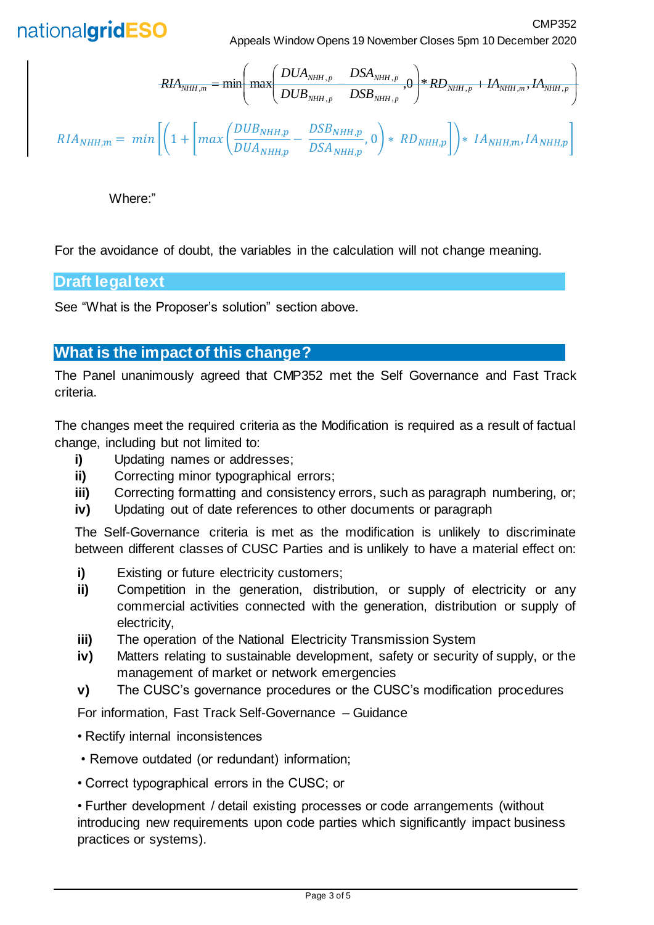

Appeals Window Opens 19 November Closes 5pm 10 December 2020

CMP352

$$
RIA_{NHH,m} = \min \left( \max \left( \frac{DUA_{NHH,p}}{DUB_{NHH,p}} \frac{DSA_{NHH,p}}{DSB_{NHH,p}} \right) * RD_{NHH,p} + IA_{NHH,m}, IA_{NHH,p} \right)
$$
  

$$
RIA_{NHH,m} = \min \left[ \left( 1 + \left[ \max \left( \frac{DUB_{NHH,p}}{DUA_{NHH,p}} - \frac{DSB_{NHH,p}}{DSA_{NHH,p}} \right) \right) * RD_{NHH,p} \right] \right) * IA_{NHH,m}, IA_{NHH,p} \right]
$$

Where:"

For the avoidance of doubt, the variables in the calculation will not change meaning.

### **Draft legal text**

See "What is the Proposer's solution" section above.

## **What is the impact of this change?**

The Panel unanimously agreed that CMP352 met the Self Governance and Fast Track criteria.

The changes meet the required criteria as the Modification is required as a result of factual change, including but not limited to:

- **i)** Updating names or addresses;
- **ii)** Correcting minor typographical errors;
- **iii)** Correcting formatting and consistency errors, such as paragraph numbering, or;
- **iv)** Updating out of date references to other documents or paragraph

The Self-Governance criteria is met as the modification is unlikely to discriminate between different classes of CUSC Parties and is unlikely to have a material effect on:

- **i)** Existing or future electricity customers;
- **ii)** Competition in the generation, distribution, or supply of electricity or any commercial activities connected with the generation, distribution or supply of electricity,
- **iii)** The operation of the National Electricity Transmission System
- **iv)** Matters relating to sustainable development, safety or security of supply, or the management of market or network emergencies
- **v)** The CUSC's governance procedures or the CUSC's modification procedures

For information, Fast Track Self-Governance – Guidance

- Rectify internal inconsistences
- Remove outdated (or redundant) information;
- Correct typographical errors in the CUSC; or

• Further development / detail existing processes or code arrangements (without introducing new requirements upon code parties which significantly impact business practices or systems).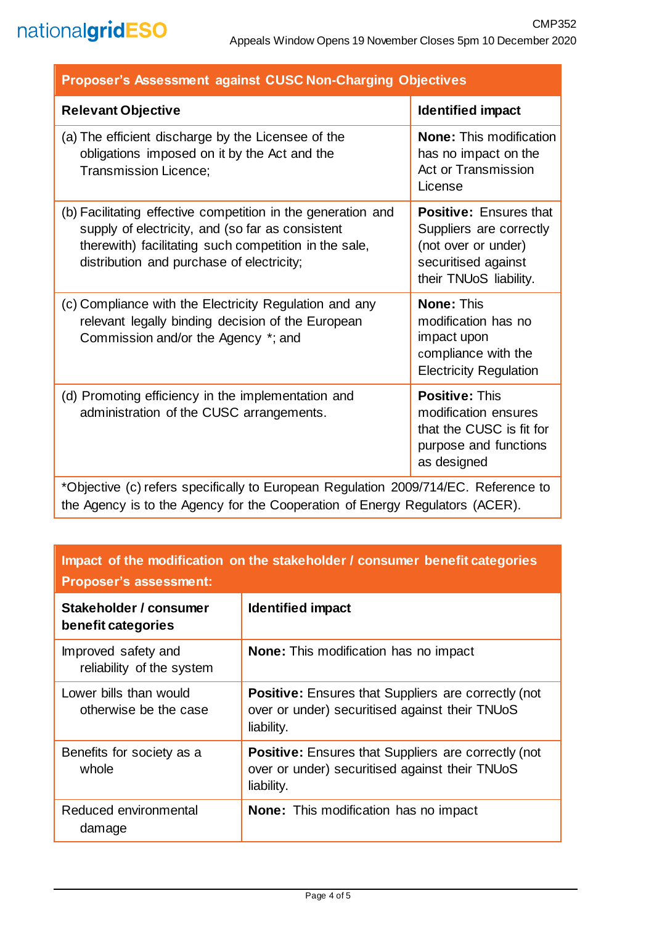| <b>Proposer's Assessment against CUSC Non-Charging Objectives</b>                                                                                                                                                      |                                                                                                                                  |  |
|------------------------------------------------------------------------------------------------------------------------------------------------------------------------------------------------------------------------|----------------------------------------------------------------------------------------------------------------------------------|--|
| <b>Relevant Objective</b>                                                                                                                                                                                              | <b>Identified impact</b>                                                                                                         |  |
| (a) The efficient discharge by the Licensee of the<br>obligations imposed on it by the Act and the<br><b>Transmission Licence;</b>                                                                                     | <b>None:</b> This modification<br>has no impact on the<br><b>Act or Transmission</b><br>License                                  |  |
| (b) Facilitating effective competition in the generation and<br>supply of electricity, and (so far as consistent<br>therewith) facilitating such competition in the sale,<br>distribution and purchase of electricity; | <b>Positive: Ensures that</b><br>Suppliers are correctly<br>(not over or under)<br>securitised against<br>their TNUoS liability. |  |
| (c) Compliance with the Electricity Regulation and any<br>relevant legally binding decision of the European<br>Commission and/or the Agency *; and                                                                     | <b>None: This</b><br>modification has no<br>impact upon<br>compliance with the<br><b>Electricity Regulation</b>                  |  |
| (d) Promoting efficiency in the implementation and<br>administration of the CUSC arrangements.                                                                                                                         | <b>Positive: This</b><br>modification ensures<br>that the CUSC is fit for<br>purpose and functions<br>as designed                |  |
| *Objective (c) refers specifically to European Regulation 2009/714/EC. Reference to                                                                                                                                    |                                                                                                                                  |  |

the Agency is to the Agency for the Cooperation of Energy Regulators (ACER).

| Impact of the modification on the stakeholder / consumer benefit categories |  |
|-----------------------------------------------------------------------------|--|
| <b>Proposer's assessment:</b>                                               |  |

| <u>I TUPUJUI 3 UJJUJJIIIUII.</u>                 |                                                                                                                            |  |
|--------------------------------------------------|----------------------------------------------------------------------------------------------------------------------------|--|
| Stakeholder / consumer<br>benefit categories     | <b>Identified impact</b>                                                                                                   |  |
| Improved safety and<br>reliability of the system | <b>None:</b> This modification has no impact                                                                               |  |
| Lower bills than would<br>otherwise be the case  | <b>Positive:</b> Ensures that Suppliers are correctly (not<br>over or under) securitised against their TNUoS<br>liability. |  |
| Benefits for society as a<br>whole               | <b>Positive:</b> Ensures that Suppliers are correctly (not<br>over or under) securitised against their TNUoS<br>liability. |  |
| Reduced environmental<br>damage                  | <b>None:</b> This modification has no impact                                                                               |  |